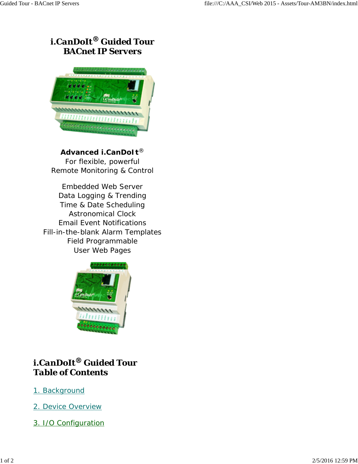# *i.CanDoIt® Guided Tour BACnet IP Servers*



*Advanced i.CanDoIt® For flexible, powerful Remote Monitoring & Control*

*Embedded Web Server Data Logging & Trending Time & Date Scheduling Astronomical Clock Email Event Notifications Fill-in-the-blank Alarm Templates Field Programmable User Web Pages*



## *i.CanDoIt® Guided Tour Table of Contents*

- 1. Background
- 2. Device Overview
- 3. I/O Configuration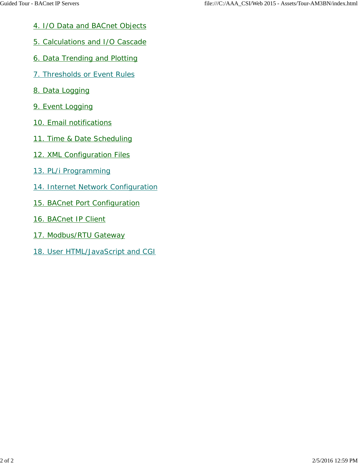- 4. I/O Data and BACnet Objects
- 5. Calculations and I/O Cascade
- 6. Data Trending and Plotting
- 7. Thresholds or Event Rules
- 8. Data Logging
- 9. Event Logging
- 10. Email notifications
- 11. Time & Date Scheduling
- 12. XML Configuration Files
- 13. PL/i Programming
- 14. Internet Network Configuration
- 15. BACnet Port Configuration
- 16. BACnet IP Client
- 17. Modbus/RTU Gateway
- 18. User HTML/JavaScript and CGI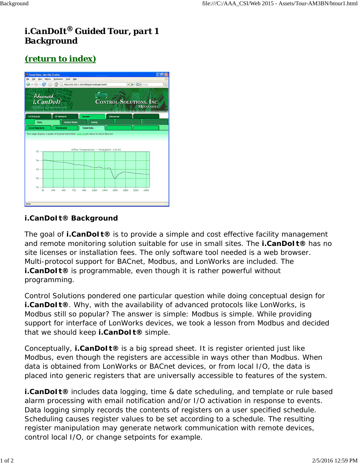# *i.CanDoIt® Guided Tour, part 1 Background*

# *(return to index)*



#### **i.CanDoIt® Background**

The goal of **i.CanDoIt®** is to provide a simple and cost effective facility management and remote monitoring solution suitable for use in small sites. The **i.CanDoIt®** has no site licenses or installation fees. The only software tool needed is a web browser. Multi-protocol support for BACnet, Modbus, and LonWorks are included. The **i.CanDoIt®** is programmable, even though it is rather powerful without programming.

Control Solutions pondered one particular question while doing conceptual design for **i.CanDoIt®**. Why, with the availability of advanced protocols like LonWorks, is Modbus still so popular? The answer is simple: Modbus is simple. While providing support for interface of LonWorks devices, we took a lesson from Modbus and decided that we should keep **i.CanDoIt®** simple.

Conceptually, **i.CanDoIt®** is a big spread sheet. It is register oriented just like Modbus, even though the registers are accessible in ways other than Modbus. When data is obtained from LonWorks or BACnet devices, or from local I/O, the data is placed into generic registers that are universally accessible to features of the system.

**i.CanDoIt®** includes data logging, time & date scheduling, and template or rule based alarm processing with email notification and/or I/O activation in response to events. Data logging simply records the contents of registers on a user specified schedule. Scheduling causes register values to be set according to a schedule. The resulting register manipulation may generate network communication with remote devices, control local I/O, or change setpoints for example.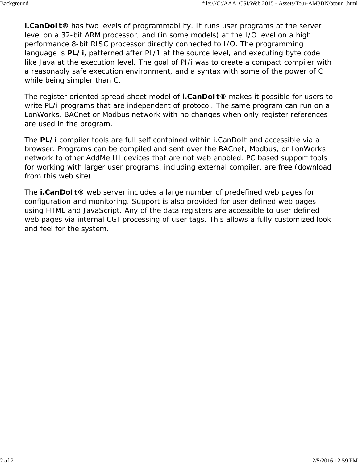**i.CanDoIt®** has two levels of programmability. It runs user programs at the server level on a 32-bit ARM processor, and (in some models) at the I/O level on a high performance 8-bit RISC processor directly connected to I/O. The programming language is **PL/***i,* patterned after PL/1 at the source level, and executing byte code like Java at the execution level. The goal of PI/i was to create a compact compiler with a reasonably safe execution environment, and a syntax with some of the power of C while being simpler than C.

The register oriented spread sheet model of **i.CanDoIt®** makes it possible for users to write PL/i programs that are independent of protocol. The same program can run on a LonWorks, BACnet or Modbus network with no changes when only register references are used in the program.

The **PL/***i* compiler tools are full self contained within i.CanDoIt and accessible via a browser. Programs can be compiled and sent over the BACnet, Modbus, or LonWorks network to other AddMe III devices that are not web enabled. PC based support tools for working with larger user programs, including external compiler, are free (download from this web site).

The **i.CanDoIt®** web server includes a large number of predefined web pages for configuration and monitoring. Support is also provided for user defined web pages using HTML and JavaScript. Any of the data registers are accessible to user defined web pages via internal CGI processing of user tags. This allows a fully customized look and feel for the system.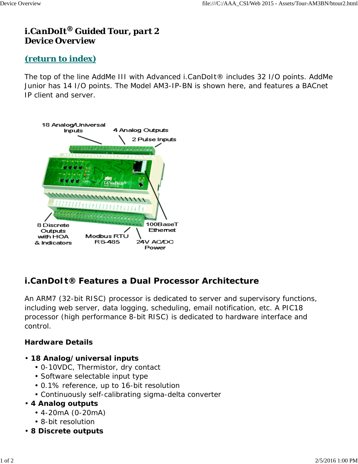# *i.CanDoIt® Guided Tour, part 2 Device Overview*

### *(return to index)*

The top of the line AddMe III with Advanced i.CanDoIt® includes 32 I/O points. AddMe Junior has 14 I/O points. The Model AM3-IP-BN is shown here, and features a BACnet IP client and server.



## *i.CanDoIt***® Features a Dual Processor Architecture**

An ARM7 (32-bit RISC) processor is dedicated to server and supervisory functions, including web server, data logging, scheduling, email notification, etc. A PIC18 processor (high performance 8-bit RISC) is dedicated to hardware interface and control.

#### **Hardware Details**

- **18 Analog/universal inputs**
	- 0-10VDC, Thermistor, dry contact
	- Software selectable input type
	- 0.1% reference, up to 16-bit resolution
	- Continuously self-calibrating sigma-delta converter

#### • **4 Analog outputs**

- 4-20mA (0-20mA)
- 8-bit resolution
- **8 Discrete outputs**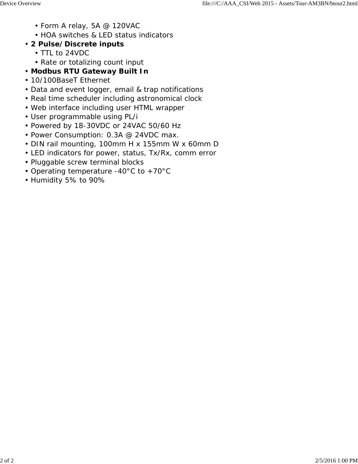- Form A relay, 5A @ 120VAC
- HOA switches & LED status indicators
- **2 Pulse/Discrete inputs**
	- TTL to 24VDC
	- Rate or totalizing count input
- **Modbus RTU Gateway Built In**
- 10/100BaseT Ethernet
- Data and event logger, email & trap notifications
- Real time scheduler including astronomical clock
- Web interface including user HTML wrapper
- User programmable using PL/i
- Powered by 18-30VDC or 24VAC 50/60 Hz
- Power Consumption: 0.3A @ 24VDC max.
- DIN rail mounting, 100mm H x 155mm W x 60mm D
- LED indicators for power, status, Tx/Rx, comm error
- Pluggable screw terminal blocks
- Operating temperature -40°C to +70°C
- Humidity 5% to 90%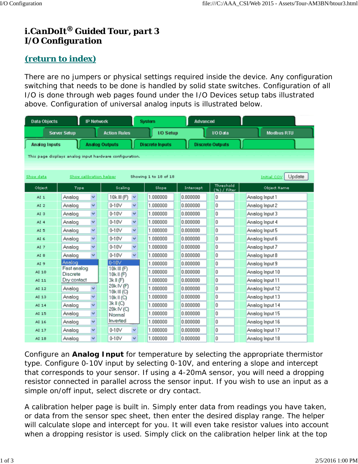# *i.CanDoIt® Guided Tour, part 3 I/O Configuration*

## *(return to index)*

There are no jumpers or physical settings required inside the device. Any configuration switching that needs to be done is handled by solid state switches. Configuration of all I/O is done through web pages found under the I/O Devices setup tabs illustrated above. Configuration of universal analog inputs is illustrated below.

| <b>Data Objects</b>                                     |                                | <b>IP Network</b>        |                           |              | <b>System</b>          | <b>Advanced</b> |                           |                              |
|---------------------------------------------------------|--------------------------------|--------------------------|---------------------------|--------------|------------------------|-----------------|---------------------------|------------------------------|
|                                                         | <b>Server Setup</b>            |                          | <b>Action Rules</b>       |              | I/O Setup              |                 | <b>VO Data</b>            | <b>Modbus RTU</b>            |
| <b>Analog Inputs</b>                                    |                                |                          | <b>Analog Outputs</b>     |              | <b>Discrete Inputs</b> |                 | <b>Discrete Outputs</b>   |                              |
| This page displays analog input hardware configuration. |                                |                          |                           |              |                        |                 |                           |                              |
|                                                         |                                |                          |                           |              |                        |                 |                           |                              |
|                                                         |                                |                          |                           |              |                        |                 |                           |                              |
| Show data                                               |                                |                          | Show calibration helper   |              | Showing 1 to 18 of 18  |                 |                           | Update<br><b>Initial COV</b> |
| Object                                                  | Type                           |                          | Scaling                   |              | Slope                  | Intercept       | Threshold<br>(%) / Filter | Object Name                  |
| AI <sub>1</sub>                                         | Analog                         | $\checkmark$             | 10k III (F)               | ×            | 1.000000               | 0.000000        | 0                         | Analog Input 1               |
| AI <sub>2</sub>                                         | Analog                         | $\checkmark$             | $0-10V$                   | ×            | 1.000000               | 0.000000        | 0                         | Analog Input 2               |
| AI <sub>3</sub>                                         | Analog                         | $\checkmark$             | $0-10V$                   | $\checkmark$ | 1.000000               | 0.000000        | 0                         | Analog Input 3               |
| AI <sub>4</sub>                                         | Analog                         | Y                        | $0-10V$                   | Y            | 1.000000               | 0.000000        | o                         | Analog Input 4               |
| AI <sub>5</sub>                                         | Analog                         | $\checkmark$             | $0-10V$                   | $\checkmark$ | 1,000000               | 0.000000        | o                         | Analog Input 5               |
| AI 6                                                    | Analog                         | ×                        | $0-10V$                   | ×            | 1.000000               | 0.000000        | 0                         | Analog Input 6               |
| AI 7                                                    | Analog                         | $\ddotmark$              | $0-10V$                   | v            | 1.000000               | 0.000000        | O                         | Analog Input 7               |
| AI <sub>8</sub>                                         | Analog                         | $\checkmark$             | $0-10V$                   | $\checkmark$ | 1.000000               | 0.000000        | 0                         | Analog Input 8               |
| AI 9                                                    | Analog                         |                          | $0-10V$                   |              | 1.000000               | 0.000000        | 0                         | Analog Input 9               |
| AI 10                                                   | Fast analog<br><b>Discrete</b> |                          | 10k III (F)<br>10kll(F)   |              | 1.000000               | 0.000000        | 0                         | Analog Input 10              |
| AI 11                                                   | Dry contact                    |                          | 3k II (F)                 |              | 1.000000               | 0.000000        | O                         | Analog Input 11              |
| AI 12                                                   | Analog                         | ×                        | 20k IV (F)                |              | 1.000000               | 0.000000        | 0                         | Analog Input 12              |
| AI 13                                                   | Analog                         | ×                        | 10k III (C)<br>10k II (C) |              | 1.000000               | 0.000000        | O                         | Analog Input 13              |
| AI 14                                                   | Analog                         | $\ddot{\phantom{1}}$     | 3k II (C)                 |              | 1,000000               | 0.000000        | O                         | Analog Input 14              |
| AI 15                                                   | Analog                         | v                        | 20k IV (C)<br>Normal      |              | 1.000000               | 0.000000        | O                         | Analog Input 15              |
| AI 16                                                   | Analog                         | $\checkmark$             | Inverted                  |              | 1.000000               | 0.000000        | 0                         | Analog Input 16              |
| AI 17                                                   | Analog                         | $\checkmark$             | $0-10V$                   | $\checkmark$ | 1.000000               | 0.000000        | O                         | Analog Input 17              |
| AI 18                                                   | Analog                         | $\overline{\phantom{0}}$ | $0-10V$                   | $\checkmark$ | 1.000000               | 0.000000        | 0                         | Analog Input 18              |

Configure an **Analog Input** for temperature by selecting the appropriate thermistor type. Configure 0-10V input by selecting 0-10V, and entering a slope and intercept that corresponds to your sensor. If using a 4-20mA sensor, you will need a dropping resistor connected in parallel across the sensor input. If you wish to use an input as a simple on/off input, select discrete or dry contact.

A calibration helper page is built in. Simply enter data from readings you have taken, or data from the sensor spec sheet, then enter the desired display range. The helper will calculate slope and intercept for you. It will even take resistor values into account when a dropping resistor is used. Simply click on the calibration helper link at the top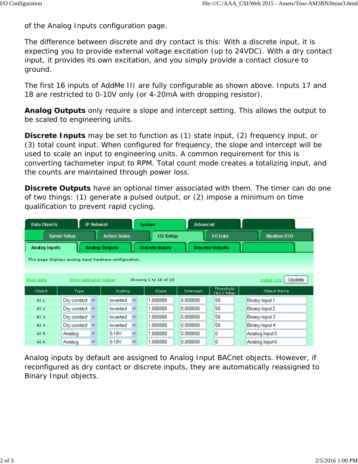of the Analog Inputs configuration page.

The difference between discrete and dry contact is this: With a discrete input, it is expecting you to provide external voltage excitation (up to 24VDC). With a dry contact input, it provides its own excitation, and you simply provide a contact closure to ground.

The first 16 inputs of AddMe III are fully configurable as shown above. Inputs 17 and 18 are restricted to 0-10V only (or 4-20mA with dropping resistor).

**Analog Outputs** only require a slope and intercept setting. This allows the output to be scaled to engineering units.

**Discrete Inputs** may be set to function as (1) state input, (2) frequency input, or (3) total count input. When configured for frequency, the slope and intercept will be used to scale an input to engineering units. A common requirement for this is converting tachometer input to RPM. Total count mode creates a totalizing input, and the counts are maintained through power loss.

**Discrete Outputs** have an optional timer associated with them. The timer can do one of two things: (1) generate a pulsed output, or (2) impose a minimum on time qualification to prevent rapid cycling.

| <b>Data Objects</b> |                         | <b>IP Network</b> |                                                         | <b>System</b>          | Advanced  |                           |                              |
|---------------------|-------------------------|-------------------|---------------------------------------------------------|------------------------|-----------|---------------------------|------------------------------|
|                     | <b>Server Setup</b>     |                   | <b>Action Rules</b>                                     | <b>I/O Setup</b>       |           | I/O Data                  | <b>Modbus RTU</b>            |
| Analog Inputs       |                         |                   | <b>Analog Outputs</b>                                   | <b>Discrete Inputs</b> |           | <b>Discrete Outputs</b>   |                              |
|                     |                         |                   | This page displays analog input hardware configuration. |                        |           |                           |                              |
|                     |                         |                   |                                                         |                        |           |                           |                              |
| Show data           | Show calibration helper |                   |                                                         | Showing 1 to 18 of 18  |           |                           | Update<br><b>Initial COV</b> |
| Object              | Type                    |                   | Scaling                                                 | Slope                  | Intercept | Threshold<br>(%) / Filter | Object Name                  |
| <b>BI1</b>          | Dry contact $\vee$      |                   | $\checkmark$<br>Inverted                                | 1.000000               | 0.000000  | 50                        | Binary Input 1               |
| <b>BI2</b>          | Dry contact $\vee$      |                   | $\checkmark$<br>Inverted                                | 1.000000               | 0.000000  | 50                        | Binary Input 2               |
| <b>BI3</b>          | Dry contact $\vee$      |                   | $\checkmark$<br>Inverted                                | 1.000000               | 0.000000  | 50                        | Binary Input 3               |
| <b>BI4</b>          | Dry contact $\vee$      |                   | $\checkmark$<br>Inverted                                | 1.000000               | 0.000000  | 50                        | Binary Input 4               |
| AI <sub>5</sub>     | Analog                  | $\checkmark$      | $\checkmark$<br>$0 - 10V$                               | 1.000000               | 0.000000  | 0                         | Analog Input 5               |
| AI <sub>6</sub>     | Analog                  | $\checkmark$      | $\checkmark$<br>$0-10V$                                 | 1.000000               | 0.000000  | 0                         | Analog Input 6               |

Analog inputs by default are assigned to Analog Input BACnet objects. However, if reconfigured as dry contact or discrete inputs, they are automatically reassigned to Binary Input objects.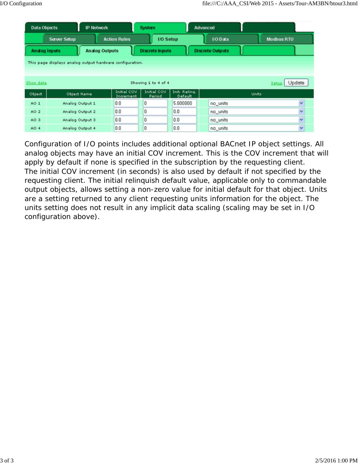| Data Objects         |                                                          | <b>IP Network</b>     |                          | <b>System</b> |                        |                          | Advanced |                         |              |                   |
|----------------------|----------------------------------------------------------|-----------------------|--------------------------|---------------|------------------------|--------------------------|----------|-------------------------|--------------|-------------------|
|                      | <b>Server Setup</b>                                      |                       | <b>Action Rules</b>      |               | I/O Setup              |                          |          | I/O Data                |              | <b>Modbus RTU</b> |
| <b>Analog Inputs</b> |                                                          | <b>Analog Outputs</b> |                          |               | <b>Discrete Inputs</b> |                          |          | <b>Discrete Outputs</b> |              |                   |
|                      | This page displays analog output hardware configuration. |                       |                          |               |                        |                          |          |                         |              |                   |
|                      |                                                          |                       |                          |               |                        |                          |          |                         |              |                   |
| Show data            |                                                          |                       |                          |               | Showing 1 to 4 of 4    |                          |          |                         |              | Update<br>Setup   |
| Object               | Object Name                                              |                       | Initial COV<br>Increment |               | Initial COV<br>Period  | Init. Reling.<br>Default |          |                         | <b>Units</b> |                   |
| AO <sub>1</sub>      | Analog Output 1                                          |                       | 0.0                      | 0             |                        | 5.000000                 |          | no_units                |              | v                 |
| AO <sub>2</sub>      | Analog Output 2                                          |                       | 0.0                      | 0             |                        | 0.0                      |          | no_units                |              | $\checkmark$      |
| AO <sub>3</sub>      | Analog Output 3                                          |                       | 0.0                      | 0             |                        | 0.0                      |          | no_units                |              | $\ddotmark$       |
| AO <sub>4</sub>      | Analog Output 4                                          |                       | 0.0                      | 0             |                        | 0.0                      |          | no units                |              | $\checkmark$      |

Configuration of I/O points includes additional optional BACnet IP object settings. All analog objects may have an initial COV increment. This is the COV increment that will apply by default if none is specified in the subscription by the requesting client. The initial COV increment (in seconds) is also used by default if not specified by the requesting client. The initial relinquish default value, applicable only to commandable output objects, allows setting a non-zero value for initial default for that object. Units are a setting returned to any client requesting units information for the object. The units setting does not result in any implicit data scaling (scaling may be set in I/O configuration above).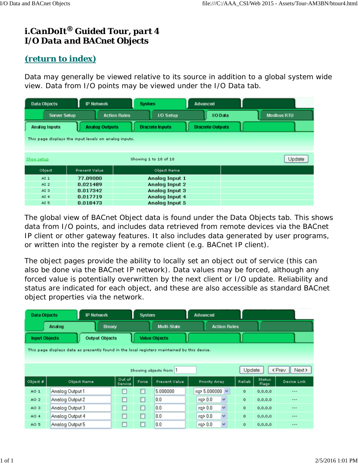# *i.CanDoIt® Guided Tour, part 4 I/O Data and BACnet Objects*

# *(return to index)*

Data may generally be viewed relative to its source in addition to a global system wide view. Data from I/O points may be viewed under the I/O Data tab.

| Data Objects         | <b>IP Network</b>                                     | <b>System</b>                           | Advanced                |                   |
|----------------------|-------------------------------------------------------|-----------------------------------------|-------------------------|-------------------|
| <b>Server Setup</b>  |                                                       | <b>Action Rules</b><br><b>I/O Setup</b> | I/O Data                | <b>Modbus RTU</b> |
| <b>Analog Inputs</b> | <b>Analog Outputs</b>                                 | <b>Discrete Inputs</b>                  | <b>Discrete Outputs</b> |                   |
|                      | This page displays the input levels on analog inputs. |                                         |                         |                   |
|                      |                                                       |                                         |                         |                   |
| Show setup           |                                                       | Showing 1 to 18 of 18                   |                         | Update            |
| Object               | <b>Present Value</b>                                  | Object Name                             |                         |                   |
| AI <sub>1</sub>      | 77.09000                                              | Analog Input 1                          |                         |                   |
| AI <sub>2</sub>      | 0.021489                                              | <b>Analog Input 2</b>                   |                         |                   |
| AI3                  | 0.017342                                              | Analog Input 3                          |                         |                   |
| $AI$ 4               | 0.017719                                              | Analog Input 4                          |                         |                   |
| AI <sub>5</sub>      | 0.018473                                              | Analog Input 5                          |                         |                   |

The global view of BACnet Object data is found under the Data Objects tab. This shows data from I/O points, and includes data retrieved from remote devices via the BACnet IP client or other gateway features. It also includes data generated by user programs, or written into the register by a remote client (e.g. BACnet IP client).

The object pages provide the ability to locally set an object out of service (this can also be done via the BACnet IP network). Data values may be forced, although any forced value is potentially overwritten by the next client or I/O update. Reliability and status are indicated for each object, and these are also accessible as standard BACnet object properties via the network.

| <b>Data Objects</b>  |                 | <b>IP Network</b>     |                   | System |                                                                                              | <b>Advanced</b>       |                     |           |                 |                  |
|----------------------|-----------------|-----------------------|-------------------|--------|----------------------------------------------------------------------------------------------|-----------------------|---------------------|-----------|-----------------|------------------|
|                      | Analog          | <b>Binary</b>         |                   |        | Multi-State                                                                                  |                       | <b>Action Rules</b> |           |                 |                  |
| <b>Input Objects</b> |                 | <b>Output Objects</b> |                   |        | <b>Value Objects</b>                                                                         |                       |                     |           |                 |                  |
|                      |                 |                       |                   |        | This page displays data as presently found in the local registers maintained by this device. |                       |                     |           |                 |                  |
|                      |                 |                       |                   |        |                                                                                              |                       |                     |           |                 |                  |
|                      |                 |                       |                   |        | Showing objects from 1                                                                       |                       |                     | Update    |                 | < Prev<br>Next > |
| Object #             | Object Name     |                       | Out of<br>Service | Force  | Present Value                                                                                | <b>Priority Array</b> |                     | Reliab    | Status<br>Flags | Device Link      |
| AO <sub>1</sub>      | Analog Output 1 |                       | ш                 | ш      | 5.000000                                                                                     | rq> 5.000000 ~        |                     | $\circ$   | 0, 0, 0, 0      | ---              |
| AO <sub>2</sub>      | Analog Output 2 |                       | □                 | □      | 0.0                                                                                          | rq> 0.0               | ×                   | $\circ$   | 0, 0, 0, 0      | ---              |
| AO <sub>3</sub>      | Analog Output 3 |                       | ◻                 | □      | 0.0                                                                                          | rq> 0.0               | ×                   | $\bullet$ | 0, 0, 0, 0      | ---              |
| AO <sub>4</sub>      | Analog Output 4 |                       | □                 | □      | 0.0                                                                                          | rq> 0.0               | $\checkmark$        | $\bullet$ | 0, 0, 0, 0      |                  |
| AO <sub>5</sub>      | Analog Output 5 |                       | □                 | □      | 0.0                                                                                          | rq> 0.0               | $\checkmark$        | $\circ$   | 0, 0, 0, 0      | ---              |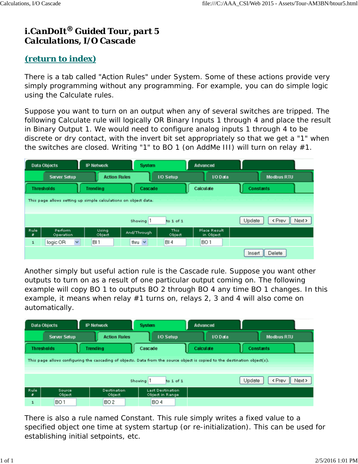# *i.CanDoIt® Guided Tour, part 5 Calculations, I/O Cascade*

# *(return to index)*

There is a tab called "Action Rules" under System. Some of these actions provide very simply programming without any programming. For example, you can do simple logic using the Calculate rules.

Suppose you want to turn on an output when any of several switches are tripped. The following Calculate rule will logically OR Binary Inputs 1 through 4 and place the result in Binary Output 1. We would need to configure analog inputs 1 through 4 to be discrete or dry contact, with the invert bit set appropriately so that we get a "1" when the switches are closed. Writing "1" to BO 1 (on AddMe III) will turn on relay #1.

|           | <b>Data Objects</b>                                             | <b>IP Network</b>   | <b>System</b>        |                      | <b>Advanced</b>                  |        |                              |  |  |
|-----------|-----------------------------------------------------------------|---------------------|----------------------|----------------------|----------------------------------|--------|------------------------------|--|--|
|           | <b>Server Setup</b>                                             | <b>Action Rules</b> |                      | <b>I/O Setup</b>     | <b>VO</b> Data                   |        | <b>Modbus RTU</b>            |  |  |
|           | <b>Thresholds</b>                                               | <b>Trending</b>     |                      | Cascade<br>Calculate |                                  |        | <b>Constants</b>             |  |  |
|           | This page allows setting up simple calculations on object data. |                     |                      |                      |                                  |        |                              |  |  |
|           |                                                                 |                     |                      |                      |                                  |        |                              |  |  |
|           |                                                                 |                     | Showing <sup>1</sup> | to 1 of 1            |                                  | Update | <prev<br>Next &gt;</prev<br> |  |  |
| Rule<br>₽ | Perform<br>Operation                                            | Using<br>Object     | And/Through          | This<br>Object       | <b>Place Result</b><br>in Object |        |                              |  |  |
| 1         | $\checkmark$<br>logic OR                                        | BI <sub>1</sub>     | thru $\vee$          | BI4                  | BO <sub>1</sub>                  |        |                              |  |  |
|           |                                                                 |                     |                      |                      |                                  | Insert | Delete                       |  |  |

Another simply but useful action rule is the Cascade rule. Suppose you want other outputs to turn on as a result of one particular output coming on. The following example will copy BO 1 to outputs BO 2 through BO 4 any time BO 1 changes. In this example, it means when relay #1 turns on, relays 2, 3 and 4 will also come on automatically.

|                                                                                                                            | <b>Data Objects</b> |                 | <b>IP Network</b>     |  | <b>System</b>                              | Advanced  |                  |                                 |  |
|----------------------------------------------------------------------------------------------------------------------------|---------------------|-----------------|-----------------------|--|--------------------------------------------|-----------|------------------|---------------------------------|--|
|                                                                                                                            | <b>Server Setup</b> |                 | <b>Action Rules</b>   |  | <b>I/O Setup</b>                           | I/O Data  |                  | <b>Modbus RTU</b>               |  |
|                                                                                                                            | <b>Thresholds</b>   | <b>Trending</b> |                       |  | Cascade                                    | Calculate | <b>Constants</b> |                                 |  |
| This page allows configuring the cascading of objects. Data from the source object is copied to the destination object(s). |                     |                 |                       |  |                                            |           |                  |                                 |  |
|                                                                                                                            |                     |                 |                       |  |                                            |           |                  |                                 |  |
|                                                                                                                            |                     |                 |                       |  | Showing 1<br>to 1 of 1                     |           | Update           | Next ><br><prev< th=""></prev<> |  |
| Rule<br>×                                                                                                                  | Source<br>Object    |                 | Destination<br>Object |  | <b>Last Destination</b><br>Object in Range |           |                  |                                 |  |
| 1                                                                                                                          | <b>BO1</b>          |                 | BO <sub>2</sub>       |  | <b>BO4</b>                                 |           |                  |                                 |  |

There is also a rule named Constant. This rule simply writes a fixed value to a specified object one time at system startup (or re-initialization). This can be used for establishing initial setpoints, etc.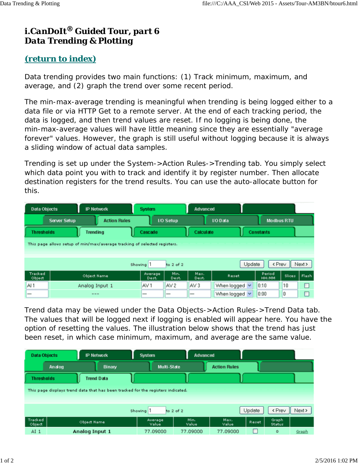# *i.CanDoIt® Guided Tour, part 6 Data Trending & Plotting*

### *(return to index)*

Data trending provides two main functions: (1) Track minimum, maximum, and average, and (2) graph the trend over some recent period.

The min-max-average trending is meaningful when trending is being logged either to a data file or via HTTP Get to a remote server. At the end of each tracking period, the data is logged, and then trend values are reset. If no logging is being done, the min-max-average values will have little meaning since they are essentially "average forever" values. However, the graph is still useful without logging because it is always a sliding window of actual data samples.

Trending is set up under the System->Action Rules->Trending tab. You simply select which data point you with to track and identify it by register number. Then allocate destination registers for the trend results. You can use the auto-allocate button for this.

| <b>Data Objects</b> | <b>IP Network</b>                                                         | <b>System</b>    |                  | Advanced        |                    |                   |         |        |
|---------------------|---------------------------------------------------------------------------|------------------|------------------|-----------------|--------------------|-------------------|---------|--------|
|                     | <b>Action Rules</b><br><b>Server Setup</b>                                |                  | <b>I/O Setup</b> |                 | <b>VO Data</b>     | <b>Modbus RTU</b> |         |        |
| <b>Thresholds</b>   | <b>Trending</b>                                                           | Cascade          |                  | Calculate       |                    | <b>Constants</b>  |         |        |
|                     | This page allows setup of min/max/average tracking of selected registers. |                  |                  |                 |                    |                   |         |        |
|                     |                                                                           |                  |                  |                 |                    |                   |         |        |
|                     |                                                                           | Showing 1        | to $2$ of $2$    |                 | Update             | < Prev            |         | Next > |
| Tracked<br>Object   | <b>Object Name</b>                                                        | Average<br>Dest. | Min.<br>Dest.    | Max.<br>Dest.   | Reset              | Period<br>HH: MM  | Slices. | Flash  |
| AI <sub>1</sub>     | Analog Input 1                                                            | AV <sub>1</sub>  | AV 2             | AV <sub>3</sub> | When logged $\vee$ | 0:10              | 10      | □      |
|                     | $---$                                                                     | –                |                  |                 | When logged v      | 0:00              | 0       | ◻      |

Trend data may be viewed under the Data Objects->Action Rules->Trend Data tab. The values that will be logged next if logging is enabled will appear here. You have the option of resetting the values. The illustration below shows that the trend has just been reset, in which case minimum, maximum, and average are the same value.

| <b>Data Objects</b> |        | <b>IP Network</b>                                                                | System           | Advanced      |                     |        |                                         |        |
|---------------------|--------|----------------------------------------------------------------------------------|------------------|---------------|---------------------|--------|-----------------------------------------|--------|
|                     | Analog | Binary                                                                           | Multi-State      |               | <b>Action Rules</b> |        |                                         |        |
| <b>Thresholds</b>   |        | <b>Trend Data</b>                                                                |                  |               |                     |        |                                         |        |
|                     |        | This page displays trend data that has been tracked for the registers indicated. |                  |               |                     |        |                                         |        |
|                     |        |                                                                                  |                  |               |                     |        |                                         |        |
|                     |        |                                                                                  | Showing 1        | to $2$ of $2$ |                     | Update | <prev< th=""><th>Next &gt;</th></prev<> | Next > |
| Tracked<br>Object   |        | Object Name                                                                      | Average<br>Value | Min.<br>Value | Max.<br>Value       | Reset  | Graph<br><b>Status</b>                  |        |
| AI <sub>1</sub>     |        | Analog Input 1                                                                   | 77.09000         | 77.09000      | 77.09000            |        | $\mathbf 0$                             | Graph  |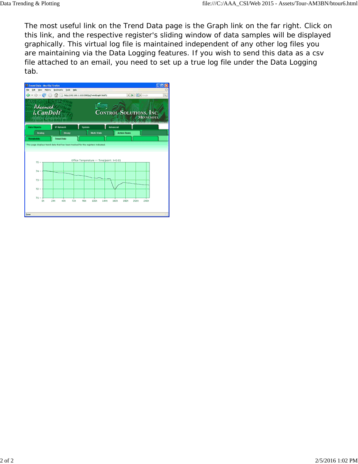The most useful link on the Trend Data page is the Graph link on the far right. Click on this link, and the respective register's sliding window of data samples will be displayed graphically. This virtual log file is maintained independent of any other log files you are maintaining via the Data Logging features. If you wish to send this data as a csv file attached to an email, you need to set up a true log file under the Data Logging tab.

| <sup>5</sup> Trend Data - Morilla Firefox |                                  |             |                                          |                                         | <b>CTC</b>       |
|-------------------------------------------|----------------------------------|-------------|------------------------------------------|-----------------------------------------|------------------|
|                                           | DR Yew Highly Dollard's Dok 1944 |             |                                          |                                         |                  |
|                                           |                                  |             |                                          | $\bullet$ $\bullet$ $\bullet$ $\bullet$ | a,               |
| Advanced<br><b>i.</b> CanDoIt             |                                  |             |                                          | <b>CONTROL SOLUTIONS, INC.</b>          | <b>MINNEMOTA</b> |
| <b>Data Objects</b>                       | <b>IP Network</b>                | System      | Advanced                                 |                                         |                  |
| <b>Analog</b>                             | Bismy                            |             | <b>Multi-State</b>                       | <b>Action Flutes</b>                    |                  |
| Thresholds                                | Trend Data                       |             |                                          |                                         |                  |
| 75 -                                      |                                  |             | Office Temperature -- Time/point: t=0:01 |                                         |                  |
|                                           |                                  |             |                                          |                                         |                  |
| $74 -$<br>$73 -$                          |                                  |             |                                          |                                         |                  |
| $72 -$                                    |                                  |             |                                          |                                         |                  |
| $71 -$                                    |                                  |             |                                          |                                         |                  |
| œ                                         | 248<br>401<br>726                | 961<br>120t | 1446<br>1601                             | 1921<br>2166                            | 240t             |
| Done                                      |                                  |             |                                          |                                         |                  |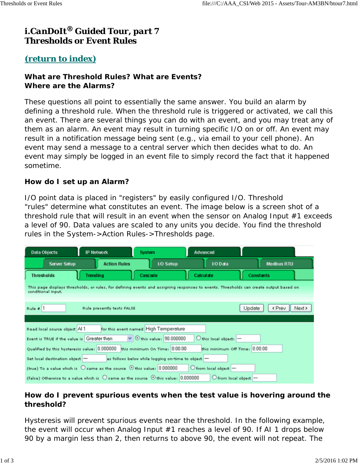## *i.CanDoIt® Guided Tour, part 7 Thresholds or Event Rules*

#### *(return to index)*

#### **What are Threshold Rules? What are Events? Where are the Alarms?**

These questions all point to essentially the same answer. You build an alarm by defining a threshold rule. When the threshold rule is triggered or activated, we call this an event. There are several things you can do with an event, and you may treat any of them as an alarm. An event may result in turning specific I/O on or off. An event may result in a notification message being sent (e.g., via email to your cell phone). An event may send a message to a central server which then decides what to do. An event may simply be logged in an event file to simply record the fact that it happened sometime.

#### **How do I set up an Alarm?**

I/O point data is placed in "registers" by easily configured I/O. Threshold "rules" determine what constitutes an event. The image below is a screen shot of a threshold rule that will result in an event when the sensor on Analog Input #1 exceeds a level of 90. Data values are scaled to any units you decide. You find the threshold rules in the System->Action Rules->Thresholds page.

| Data Objects                               | IP Network                                                                                          | <b>System</b>                                      | Advanced                                |                                                                                                                                       |
|--------------------------------------------|-----------------------------------------------------------------------------------------------------|----------------------------------------------------|-----------------------------------------|---------------------------------------------------------------------------------------------------------------------------------------|
| <b>Server Setup</b>                        | <b>Action Rules</b>                                                                                 | <b>I/O Setup</b>                                   | I/O Data                                | <b>Modbus RTU</b>                                                                                                                     |
| <b>Thresholds</b>                          | <b>Trending</b>                                                                                     | Cascade                                            | Calculate                               | <b>Constants</b>                                                                                                                      |
| conditional input.                         |                                                                                                     |                                                    |                                         | This page displays thresholds, or rules, for defining events and assigning responses to events. Thresholds can create output based on |
| Rule $\#$ 1                                | Rule presently tests FALSE                                                                          |                                                    |                                         | <prev<br>Next &gt;<br/>Update</prev<br>                                                                                               |
|                                            |                                                                                                     |                                                    |                                         |                                                                                                                                       |
| Read local source object Al 1              |                                                                                                     | for this event named High Temperature              |                                         |                                                                                                                                       |
| Event is TRUE if the value is Greater than |                                                                                                     | $\vee$ $\odot$ this value: 90.000000               | $\bigcirc$ this local object: $\big $ - |                                                                                                                                       |
|                                            | Qualified by this hysteresis value: 0.000000 this minimum On Time: 0.00.00                          |                                                    | this minimum Off Time: 0:00:00          |                                                                                                                                       |
| Set local destination object -             |                                                                                                     | as follows below while logging on-time to object - |                                         |                                                                                                                                       |
|                                            | (true) To a value which is $\bigcirc$ same as the source $\bigcirc$ this value: 0.000000            |                                                    | $O$ from local object $-$               |                                                                                                                                       |
|                                            | (false) Otherwise to a value which is $\bigcirc$ same as the source $\bigcirc$ this value: 0.000000 |                                                    | $O$ from local object $-$               |                                                                                                                                       |

#### **How do I prevent spurious events when the test value is hovering around the threshold?**

Hysteresis will prevent spurious events near the threshold. In the following example, the event will occur when Analog Input #1 reaches a level of 90. If AI 1 drops below 90 by a margin *less than 2*, then returns to above 90, the event will not repeat. The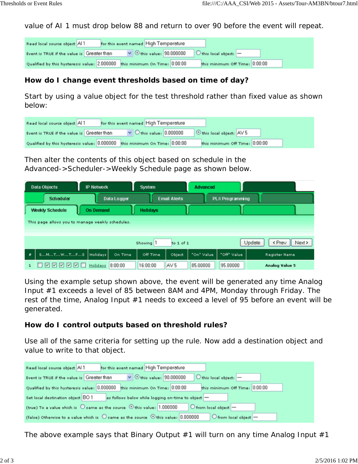value of AI 1 must drop below 88 and return to over 90 before the event will repeat.

| Read local source object Al 1                                              | for this event named High Temperature |                                                                     |  |
|----------------------------------------------------------------------------|---------------------------------------|---------------------------------------------------------------------|--|
| Event is TRUE if the value is Greater than                                 |                                       | $\vee$ $\odot$ this value: 90.000000 $\odot$ this local object: $-$ |  |
| Qualified by this hysteresis value: 2.000000 this minimum On Time: 0:00:00 |                                       | this minimum Off Time: 0:00:00                                      |  |

#### **How do I change event thresholds based on time of day?**

Start by using a value object for the test threshold rather than fixed value as shown below:

| Read local source object Al 1                                              | for this event named High Temperature |                                |
|----------------------------------------------------------------------------|---------------------------------------|--------------------------------|
| Event is TRUE if the value is Greater than                                 | $\vee$ Othis value: 0.000000          | O this local object: AV 5      |
| Qualified by this hysteresis value: 0.000000 this minimum On Time: 0.00:00 |                                       | this minimum Off Time: 0:00:00 |

Then alter the contents of this object based on schedule in the Advanced->Scheduler->Weekly Schedule page as shown below.

|          | Data Objects                                               | <b>IP Network</b> |             | System               |                     | <b>Advanced</b> |                  |                                        |
|----------|------------------------------------------------------------|-------------------|-------------|----------------------|---------------------|-----------------|------------------|----------------------------------------|
|          | Scheduler                                                  |                   | Data Logger |                      | <b>Email Alerts</b> |                 | PL/i Programming |                                        |
|          | Weekly Schedule                                            | <b>On Demand</b>  |             | <b>Holidays</b>      |                     |                 |                  |                                        |
|          | This page allows you to manage weekly schedules.           |                   |             |                      |                     |                 |                  |                                        |
|          |                                                            |                   |             |                      |                     |                 |                  |                                        |
|          |                                                            |                   |             | Showing <sup>1</sup> | to 1 of 1           |                 |                  | $\parallel$ Next ><br>< Prev<br>Update |
| $\theta$ | SMTWTFS                                                    | Holidays          | On Time     | Off Time             | Object              | "On" Value      | "Off" Value      | Register Name                          |
|          | $ v $ $ v $<br>M<br>$\overline{\mathsf{v}}$<br><b>NYI.</b> | Holidays          | 8:00:00     | 16:00:00             | AV 5                | 85.00000        | 95.00000         | <b>Analog Value 5</b>                  |

Using the example setup shown above, the event will be generated any time Analog Input #1 exceeds a level of 85 between 8AM and 4PM, Monday through Friday. The rest of the time, Analog Input #1 needs to exceed a level of 95 before an event will be generated.

#### **How do I control outputs based on threshold rules?**

Use all of the same criteria for setting up the rule. Now add a destination object and value to write to that object.

| for this event named High Temperature<br>Read local source object Al 1                                                           |
|----------------------------------------------------------------------------------------------------------------------------------|
| $\vee$ $\odot$ this value: 90.000000<br>$\bigcirc$ this local object: $\big $ -<br>Event is TRUE if the value is Greater than    |
| Qualified by this hysteresis value: 0.000000 this minimum On Time: 0:00:00<br>this minimum Off Time: 0:00:00                     |
| Set local destination object BO 1<br>as follows below while logging on-time to object -                                          |
| (true) To a value which is $\bigcirc$ same as the source $\bigcirc$ this value: 1.000000<br>$\circ$ from local object $-$        |
| (false) Otherwise to a value which is $\bigcirc$ same as the source $\bigcirc$ this value: 0.000000<br>$O$ from local object $-$ |

The above example says that Binary Output  $#1$  will turn on any time Analog Input  $#1$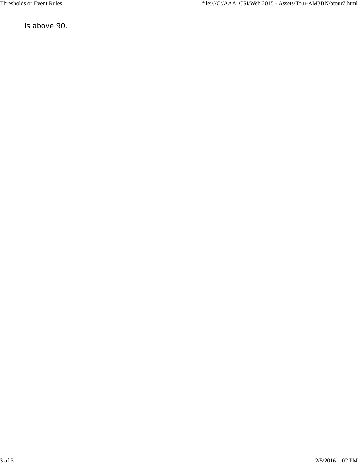is above 90.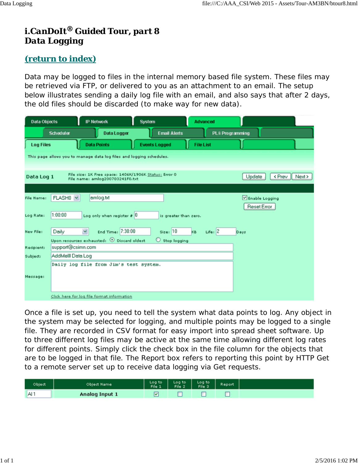# *i.CanDoIt® Guided Tour, part 8 Data Logging*

### *(return to index)*

Data may be logged to files in the internal memory based file system. These files may be retrieved via FTP, or delivered to you as an attachment to an email. The setup below illustrates sending a daily log file with an email, and also says that after 2 days, the old files should be discarded (to make way for new data).

| Data Objects      |                      | <b>IP Network</b>                                                                        | <b>System</b>           | <b>Advanced</b>  |                         |        |                |        |
|-------------------|----------------------|------------------------------------------------------------------------------------------|-------------------------|------------------|-------------------------|--------|----------------|--------|
|                   | <b>Scheduler</b>     | Data Logger                                                                              | <b>Email Alerts</b>     |                  | <b>PL/i Programming</b> |        |                |        |
| <b>Log Files</b>  |                      | <b>Data Points</b>                                                                       | <b>Events Logged</b>    | <b>File List</b> |                         |        |                |        |
|                   |                      | This page allows you to manage data log files and logging schedules.                     |                         |                  |                         |        |                |        |
|                   |                      |                                                                                          |                         |                  |                         |        |                |        |
| Data Log 1        |                      | File size: 1K Free space: 1406K/1906K Status: Error 0<br>File name: amlog200703241F0.txt |                         |                  |                         | Update | < Prev         | Next > |
|                   |                      |                                                                                          |                         |                  |                         |        |                |        |
| <b>File Name:</b> | FLASH <sub>0</sub> v | amlog.txt                                                                                |                         |                  |                         |        | Enable Logging |        |
|                   |                      |                                                                                          |                         |                  |                         |        | Reset Error    |        |
| Log Rate:         | 1:00:00              | Log only when register $\# 0$                                                            | is greater than zero.   |                  |                         |        |                |        |
| New File:         | Daily                | ×<br>End Time: 7:30:00                                                                   | Size: 10                | KB.              | Life: $ 2 $             | Days   |                |        |
|                   |                      | Upon resources exhausted: $\odot$ Discard oldest                                         | $\bigcirc$ Stop logging |                  |                         |        |                |        |
| Recipient:        | support@csimn.com    |                                                                                          |                         |                  |                         |        |                |        |
| Subject:          | AddMelll Data Log    |                                                                                          |                         |                  |                         |        |                |        |
|                   |                      | Daily log file from Jim's test system.                                                   |                         |                  |                         |        |                |        |
| Message:          |                      |                                                                                          |                         |                  |                         |        |                |        |
|                   |                      |                                                                                          |                         |                  |                         |        |                |        |
|                   |                      |                                                                                          |                         |                  |                         |        |                |        |
|                   |                      | Click here for log file format information                                               |                         |                  |                         |        |                |        |

Once a file is set up, you need to tell the system what data points to log. Any object in the system may be selected for logging, and multiple points may be logged to a single file. They are recorded in CSV format for easy import into spread sheet software. Up to three different log files may be active at the same time allowing different log rates for different points. Simply click the check box in the file column for the objects that are to be logged in that file. The Report box refers to reporting this point by HTTP Get to a remote server set up to receive data logging via Get requests.

| Object          | Object Name    | Logito   Logito   Logito<br>File-1   File-2   File-3 | Report |  |
|-----------------|----------------|------------------------------------------------------|--------|--|
| AI <sub>1</sub> | Analog Input 1 |                                                      |        |  |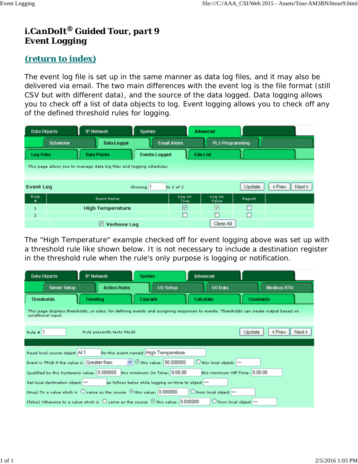# *i.CanDoIt® Guided Tour, part 9 Event Logging*

### *(return to index)*

The event log file is set up in the same manner as data log files, and it may also be delivered via email. The two main differences with the event log is the file format (still CSV but with different data), and the source of the data logged. Data logging allows you to check off a list of data objects to log. Event logging allows you to check off any of the defined threshold rules for logging.

|                  | <b>Data Objects</b> | <b>IP Network</b>                                                    | System               |                     | <b>Advanced</b>         |        |        |        |
|------------------|---------------------|----------------------------------------------------------------------|----------------------|---------------------|-------------------------|--------|--------|--------|
|                  | <b>Scheduler</b>    | Data Logger                                                          |                      | <b>Email Alerts</b> | PL/i Programming        |        |        |        |
| <b>Log Files</b> |                     | <b>Data Points</b>                                                   | <b>Events Logged</b> |                     | <b>File List</b>        |        |        |        |
|                  |                     | This page allows you to manage data log files and logging schedules. |                      |                     |                         |        |        |        |
|                  |                     |                                                                      |                      |                     |                         |        |        |        |
| <b>Event Log</b> |                     |                                                                      | Showing 1            | to 2 of 2           |                         | Update | < Prev | Next > |
| Rule<br>۰        |                     | <b>Event Name</b>                                                    |                      | Log on<br>True      | Log on<br>False         | Report |        |        |
| $\mathbf{1}$     |                     | <b>High Temperature</b>                                              |                      | 罓                   | $\overline{\mathbf{v}}$ | п      |        |        |
| $\overline{2}$   |                     |                                                                      |                      | п                   | г                       | □      |        |        |
|                  |                     | <b>Verbose Log</b><br>⊵                                              |                      |                     | Clear All               |        |        |        |

The "High Temperature" example checked off for event logging above was set up with a threshold rule like shown below. It is not necessary to include a destination register in the threshold rule when the rule's only purpose is logging or notification.

| Data Objects                               | <b>IP Network</b>                                                                                       | <b>System</b>                                      | Advanced                                |                                                                                                                                       |
|--------------------------------------------|---------------------------------------------------------------------------------------------------------|----------------------------------------------------|-----------------------------------------|---------------------------------------------------------------------------------------------------------------------------------------|
| <b>Server Setup</b>                        | <b>Action Rules</b>                                                                                     | <b>I/O Setup</b>                                   | t/O Data                                | <b>Modbus RTU</b>                                                                                                                     |
| <b>Thresholds</b>                          | <b>Trending</b>                                                                                         | Cascade                                            | Calculate                               | <b>Constants</b>                                                                                                                      |
| conditional input.                         |                                                                                                         |                                                    |                                         | This page displays thresholds, or rules, for defining events and assigning responses to events. Thresholds can create output based on |
| Rule $\theta$ 1                            | Rule presently tests FALSE                                                                              |                                                    |                                         | Update<br><prev<br>Next &gt;</prev<br>                                                                                                |
|                                            |                                                                                                         |                                                    |                                         |                                                                                                                                       |
| Read local source object Al 1              |                                                                                                         | for this event named High Temperature              |                                         |                                                                                                                                       |
| Event is TRUE if the value is Greater than |                                                                                                         | $\vee$ $\odot$ this value: 90.000000               | $\bigcirc$ this local object: $\big $ - |                                                                                                                                       |
|                                            | Qualified by this hysteresis value: 0.000000 this minimum On Time: 0:00:00                              |                                                    | this minimum Off Time: 0:00:00          |                                                                                                                                       |
| Set local destination object -             |                                                                                                         | as follows below while logging on-time to object - |                                         |                                                                                                                                       |
|                                            | (true) To a value which is $\bigcirc$ same as the source $\bigcirc$ this value: 0.000000                |                                                    | $O$ from local object $-$               |                                                                                                                                       |
|                                            | (false) Otherwise to a value which is $\bigcirc$ same as the source $\bigcirc$ this value: $[0.000000]$ |                                                    | $O$ from local object $-$               |                                                                                                                                       |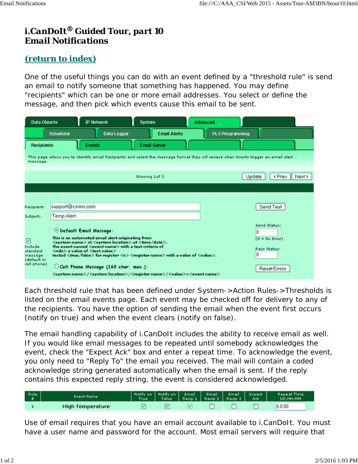# *i.CanDoIt® Guided Tour, part 10 Email Notifications*

## *(return to index)*

One of the useful things you can do with an event defined by a "threshold rule" is send an email to notify someone that something has happened. You may define "recipients" which can be one or more email addresses. You select or define the message, and then pick which events cause this email to be sent.

| <b>Data Objects</b>                                               |                                                                                                                                                                                                                                                                                                                                                                                                                            | <b>IP Network</b>                               | <b>System</b>       |                     | <b>Advanced</b>         |        |                                                                         |
|-------------------------------------------------------------------|----------------------------------------------------------------------------------------------------------------------------------------------------------------------------------------------------------------------------------------------------------------------------------------------------------------------------------------------------------------------------------------------------------------------------|-------------------------------------------------|---------------------|---------------------|-------------------------|--------|-------------------------------------------------------------------------|
|                                                                   | Scheduler                                                                                                                                                                                                                                                                                                                                                                                                                  | Data Logger                                     |                     | <b>Email Alerts</b> | <b>PL/i Programming</b> |        |                                                                         |
| <b>Recipients</b>                                                 | <b>Events</b>                                                                                                                                                                                                                                                                                                                                                                                                              |                                                 | <b>Email Server</b> |                     |                         |        |                                                                         |
| message.                                                          | This page allows you to identify email Recipients and select the message format they vill recieve when Events trigger an email alert                                                                                                                                                                                                                                                                                       |                                                 |                     |                     |                         |        |                                                                         |
|                                                                   |                                                                                                                                                                                                                                                                                                                                                                                                                            |                                                 | Showing 1of 3       |                     |                         | Update | < Prev<br>$\parallel$ Next >                                            |
|                                                                   |                                                                                                                                                                                                                                                                                                                                                                                                                            |                                                 |                     |                     |                         |        |                                                                         |
|                                                                   |                                                                                                                                                                                                                                                                                                                                                                                                                            |                                                 |                     |                     |                         |        |                                                                         |
| Recipient:                                                        | support@csimn.com                                                                                                                                                                                                                                                                                                                                                                                                          |                                                 |                     |                     |                         |        | Send Test                                                               |
| Subject:                                                          | Temp Alert                                                                                                                                                                                                                                                                                                                                                                                                                 |                                                 |                     |                     |                         |        |                                                                         |
| 罓<br>Include<br>standard<br>message<br>(default or<br>cell phone) | <b>O Default Email Message:</b><br>This is an automated email alert originating from<br><system name=""> at <system location=""> at <time date="">.<br/>The event named <event name=""> with a test criteria of<br/><rule> a value of <test value=""><br/>tested <true false=""> for register <n> <register name=""> with a value of <value>.</value></register></n></true></test></rule></event></time></system></system> | $\bigcirc$ Cell Phone Message (160 char. max.): |                     |                     |                         | n<br>0 | Send Status:<br>$(0 = No Error)$<br>Recv Status:<br><b>Reset Errors</b> |
|                                                                   | <system name="">/<system location="">/<register name="">/<value>=<event name=""></event></value></register></system></system>                                                                                                                                                                                                                                                                                              |                                                 |                     |                     |                         |        |                                                                         |

Each threshold rule that has been defined under System->Action Rules->Thresholds is listed on the email events page. Each event may be checked off for delivery to any of the recipients. You have the option of sending the email when the event first occurs (notify on true) and when the event clears (notify on false).

The email handling capability of i.CanDoIt includes the ability to receive email as well. If you would like email messages to be repeated until somebody acknowledges the event, check the "Expect Ack" box and enter a repeat time. To acknowledge the event, you only need to "Reply To" the email you received. The mail will contain a coded acknowledge string generated automatically when the email is sent. If the reply contains this expected reply string, the event is considered acknowledged.

| Rule | Event Name              | True | Notify on   Notify on   Email   Email   Email   Expect<br>False | Recip 1   Recip 2   Recip 3 |  | Ack | <b>Repeat Time</b><br>DD.HH:MM |  |
|------|-------------------------|------|-----------------------------------------------------------------|-----------------------------|--|-----|--------------------------------|--|
|      | <b>High Temperature</b> |      |                                                                 | Y                           |  |     | 0.0:00                         |  |

Use of email requires that you have an email account available to i.CanDoIt. You must have a user name and password for the account. Most email servers will require that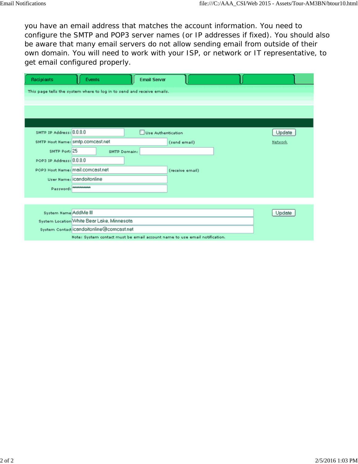you have an email address that matches the account information. You need to configure the SMTP and POP3 server names (or IP addresses if fixed). You should also be aware that many email servers do not allow sending email from outside of their own domain. You will need to work with your ISP, or network or IT representative, to get email configured properly.

| <b>Recipients</b>          | Events                                                                     | <b>Email Server</b> |                 |         |
|----------------------------|----------------------------------------------------------------------------|---------------------|-----------------|---------|
|                            | This page tells the system where to log in to send and receive emails.     |                     |                 |         |
|                            |                                                                            |                     |                 |         |
|                            |                                                                            |                     |                 |         |
|                            |                                                                            |                     |                 |         |
| SMTP IP Address: 0.0.0.0   |                                                                            | Use Authentication  |                 | Update  |
|                            | SMTP Host Name: Smtp.comcast.net                                           |                     | (send email)    | Network |
| SMTP Port: 25              |                                                                            | SMTP Domain:        |                 |         |
| POP3 IP Address: 0.0.0.0   |                                                                            |                     |                 |         |
|                            | POP3 Host Name: mail.comcast.net                                           |                     | (receive email) |         |
|                            | User Name: iCandoitonline                                                  |                     |                 |         |
| Password: <b>ANANANANA</b> |                                                                            |                     |                 |         |
|                            |                                                                            |                     |                 |         |
| System Name AddMe III      |                                                                            |                     |                 | Update  |
|                            | System Location White Bear Lake, Minnesota                                 |                     |                 |         |
|                            | system Contact icandoitonline@comcast.net                                  |                     |                 |         |
|                            | Note: System contact must be email account name to use email notification. |                     |                 |         |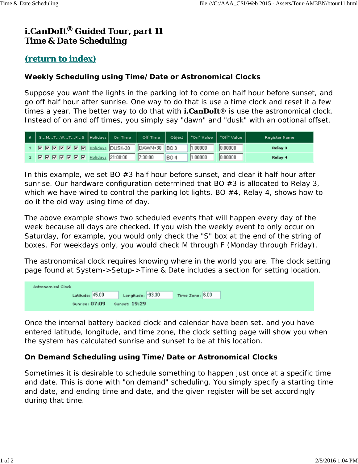# *i.CanDoIt® Guided Tour, part 11 Time & Date Scheduling*

### *(return to index)*

#### **Weekly Scheduling using Time/Date or Astronomical Clocks**

Suppose you want the lights in the parking lot to come on half hour before sunset, and go off half hour after sunrise. One way to do that is use a time clock and reset it a few times a year. The better way to do that with *i.CanDoIt®* is use the astronomical clock. Instead of on and off times, you simply say "dawn" and "dusk" with an optional offset.

| #   SMTWTFS  Holidays  On Time   Off Time   Object   "On" Value   "Off" Value |  |         |            |         |         | Register Name |
|-------------------------------------------------------------------------------|--|---------|------------|---------|---------|---------------|
|                                                                               |  |         |            | 1.00000 | 0.00000 | Relay 3       |
| 2 M M M M M M M Holidays 21:00:00                                             |  | 7:30:00 | <b>BO4</b> | 1.00000 | 0.00000 | Relay 4       |

In this example, we set BO #3 half hour before sunset, and clear it half hour after sunrise. Our hardware configuration determined that BO  $#3$  is allocated to Relay 3, which we have wired to control the parking lot lights. BO #4, Relay 4, shows how to do it the old way using time of day.

The above example shows two scheduled events that will happen every day of the week because all days are checked. If you wish the weekly event to only occur on Saturday, for example, you would only check the "S" box at the end of the string of boxes. For weekdays only, you would check M through F (Monday through Friday).

The astronomical clock requires knowing where in the world you are. The clock setting page found at System->Setup->Time & Date includes a section for setting location.

| <b>Astronomical Clock</b> |                      |                 |  |
|---------------------------|----------------------|-----------------|--|
| Latitude: 45.00           | Longitude: - 93.30   | Time Zone: 6.00 |  |
| Sunrise: 07:09            | <b>Sunset: 19:29</b> |                 |  |

Once the internal battery backed clock and calendar have been set, and you have entered latitude, longitude, and time zone, the clock setting page will show you when the system has calculated sunrise and sunset to be at this location.

#### **On Demand Scheduling using Time/Date or Astronomical Clocks**

Sometimes it is desirable to schedule something to happen just once at a specific time and date. This is done with "on demand" scheduling. You simply specify a starting time and date, and ending time and date, and the given register will be set accordingly during that time.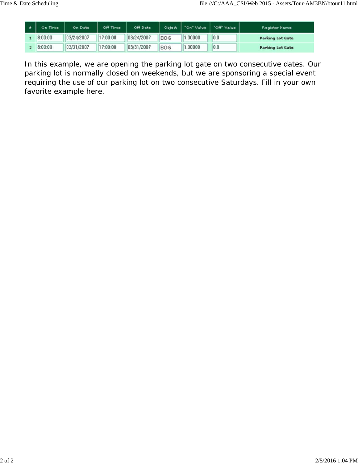| On Time | On Date    | Off Time | Off Date   | Object          | "On" Value | "Off" Value | <b>Register Name</b>    |
|---------|------------|----------|------------|-----------------|------------|-------------|-------------------------|
| 8:00:00 | 03/24/2007 | 17:00:00 | 03/24/2007 | BO <sub>6</sub> | .00000     | 0.0         | <b>Parking Lot Gate</b> |
| 8:00:00 | 03/31/2007 | 17:00:00 | 03/31/2007 | BO <sub>6</sub> | .00000     | 0.0         | <b>Parking Lot Gate</b> |

In this example, we are opening the parking lot gate on two consecutive dates. Our parking lot is normally closed on weekends, but we are sponsoring a special event requiring the use of our parking lot on two consecutive Saturdays. Fill in your own favorite example here.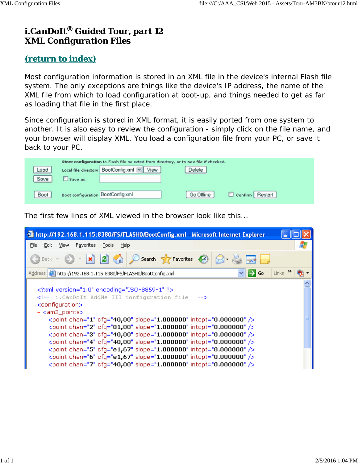# *i.CanDoIt® Guided Tour, part 12 XML Configuration Files*

### *(return to index)*

Most configuration information is stored in an XML file in the device's internal Flash file system. The only exceptions are things like the device's IP address, the name of the XML file from which to load configuration at boot-up, and things needed to get as far as loading that file in the first place.

Since configuration is stored in XML format, it is easily ported from one system to another. It is also easy to review the configuration - simply click on the file name, and your browser will display XML. You load a configuration file from your PC, or save it back to your PC.

| Store configuration to Flash file selected from directory, or to new file if checked. |                                   |                                            |            |                 |  |  |  |  |  |
|---------------------------------------------------------------------------------------|-----------------------------------|--------------------------------------------|------------|-----------------|--|--|--|--|--|
| Load                                                                                  |                                   | Local file directory BootConfig.xml v View | Delete     |                 |  |  |  |  |  |
| Save                                                                                  | Save as:                          |                                            |            |                 |  |  |  |  |  |
| Boot                                                                                  | Boot configuration BootConfig.xml |                                            | Go Offline | Confirm Restart |  |  |  |  |  |

The first few lines of XML viewed in the browser look like this...

| http://192.168.1.115:8380/FS/FLASH0/BootConfig.xml - Microsoft Internet Explorer                                                                                                                                                                                                                                                                                                                                                                                                                                                          |  |
|-------------------------------------------------------------------------------------------------------------------------------------------------------------------------------------------------------------------------------------------------------------------------------------------------------------------------------------------------------------------------------------------------------------------------------------------------------------------------------------------------------------------------------------------|--|
| File<br>Edit<br>Favorites<br><b>Tools</b><br>Help<br>View                                                                                                                                                                                                                                                                                                                                                                                                                                                                                 |  |
| - X 2 4 O search * Favorites @ 8 - 2 D                                                                                                                                                                                                                                                                                                                                                                                                                                                                                                    |  |
| $\Rightarrow$ Go<br>Address   http://192.168.1.115:8380/F5/FLASH0/BootConfig.xml<br>Links                                                                                                                                                                                                                                                                                                                                                                                                                                                 |  |
| xml version="1.0" encoding="ISO-8859-1" ?<br><!-- i. CanDoIt AddMe III configuration file<br>-- 7<br><configuration><br/><math>-</math> <am3_points></am3_points></configuration>                                                                                                                                                                                                                                                                                                                                                         |  |
| <point cfq="40,00" chan="1" intcpt="0.000000" slope="1.000000"></point><br><point cfq="01,00" chan="2" intcpt="0.000000" slope="1.000000"></point><br><point cfq="40,00" chan="3" intcpt="0.000000" slope="1.000000"></point><br><point cfq="40,00" chan="4" intcpt="0.000000" slope="1.000000"></point><br><point cfq="e1,67" chan="5" intcpt="0.000000" slope="1.000000"></point><br><point cfg="e1,67" chan="6" intcpt="0.000000" slope="1.000000"></point><br><point cfq="40,00" chan="7" intcpt="0.000000" slope="1.000000"></point> |  |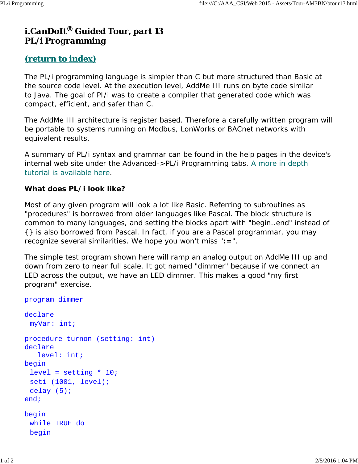## *i.CanDoIt® Guided Tour, part 13 PL/i Programming*

### *(return to index)*

The PL/i programming language is simpler than C but more structured than Basic at the source code level. At the execution level, AddMe III runs on byte code similar to Java. The goal of PI/i was to create a compiler that generated code which was compact, efficient, and safer than C.

The AddMe III architecture is register based. Therefore a carefully written program will be portable to systems running on Modbus, LonWorks or BACnet networks with equivalent results.

A summary of PL/i syntax and grammar can be found in the help pages in the device's internal web site under the Advanced- $>$ PL/i Programming tabs. A more in depth tutorial is available here.

#### **What does PL/i look like?**

Most of any given program will look a lot like Basic. Referring to subroutines as "procedures" is borrowed from older languages like Pascal. The block structure is common to many languages, and setting the blocks apart with "begin..end" instead of {} is also borrowed from Pascal. In fact, if you are a Pascal programmar, you may recognize several similarities. We hope you won't miss "**:=**".

The simple test program shown here will ramp an analog output on AddMe III up and down from zero to near full scale. It got named "dimmer" because if we connect an LED across the output, we have an LED dimmer. This makes a good "my first program" exercise.

```
program dimmer
declare
  myVar: int;
procedure turnon (setting: int)
declare
    level: int;
begin
 level = setting * 10; seti (1001, level);
 delay (5);
end;
begin
  while TRUE do
  begin
```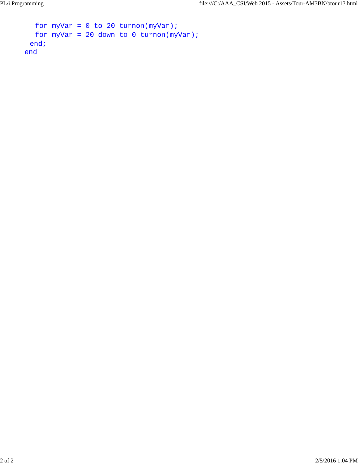```
for myVar = 0 to 20 turnon(myVar);
  for myVar = 20 down to 0 turnon(myVar);
  end;
end
```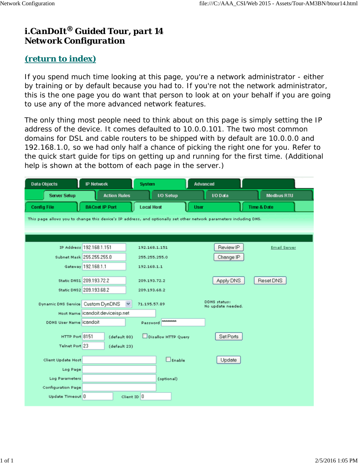## *i.CanDoIt® Guided Tour, part 14 Network Configuration*

### *(return to index)*

If you spend much time looking at this page, you're a network administrator - either by training or by default because you had to. If you're not the network administrator, this is the one page you do want that person to look at on your behalf if you are going to use any of the more advanced network features.

The only thing most people need to think about on this page is simply setting the IP address of the device. It comes defaulted to 10.0.0.101. The two most common domains for DSL and cable routers to be shipped with by default are 10.0.0.0 and 192.168.1.0, so we had only half a chance of picking the right one for you. Refer to the quick start guide for tips on getting up and running for the first time. (Additional help is shown at the bottom of each page in the server.)

| <b>Data Objects</b>                                                                                                 | <b>IP Network</b>                | <b>System</b>       | Advanced      |                                   |                        |  |
|---------------------------------------------------------------------------------------------------------------------|----------------------------------|---------------------|---------------|-----------------------------------|------------------------|--|
| <b>Server Setup</b>                                                                                                 | <b>Action Rules</b>              | <b>I/O Setup</b>    |               | I/O Data                          | <b>Modbus RTU</b>      |  |
| <b>Config File</b>                                                                                                  | <b>BACnet IP Port</b>            | <b>Local Host</b>   | <b>User</b>   |                                   | <b>Time &amp; Date</b> |  |
| This page allows you to change this device's IP address, and optionally set other network parameters including DNS. |                                  |                     |               |                                   |                        |  |
|                                                                                                                     |                                  |                     |               |                                   |                        |  |
|                                                                                                                     |                                  |                     |               |                                   |                        |  |
|                                                                                                                     | IP Address 192.168.1.151         | 192.168.1.151       |               | Review IP                         | <b>Email Server</b>    |  |
|                                                                                                                     | Subnet Mask 255.255.255.0        | 255.255.255.0       |               | Change IP                         |                        |  |
|                                                                                                                     | Gateway 192.168.1.1              | 192.168.1.1         |               |                                   |                        |  |
|                                                                                                                     | Static DNS1 209.193.72.2         | 209.193.72.2        |               | Apply DNS                         | Reset DNS              |  |
|                                                                                                                     | Static DNS2 209.193.68.2         | 209.193.68.2        |               |                                   |                        |  |
|                                                                                                                     |                                  |                     |               |                                   |                        |  |
| Dynamic DNS Service Custom DynDNS                                                                                   |                                  | 71.195.57.89        |               | DDNS status:<br>No update needed. |                        |  |
|                                                                                                                     | Host Name icandoit deviceisp.net |                     |               |                                   |                        |  |
| DDNS User Name iCandoit                                                                                             |                                  | Password Newera     |               |                                   |                        |  |
| HTTP Port 8151                                                                                                      | (default 80)                     | Disallow HTTP Query |               | Set Ports                         |                        |  |
| Telnet Port 23                                                                                                      | (default 23)                     |                     |               |                                   |                        |  |
|                                                                                                                     |                                  |                     |               |                                   |                        |  |
| Client Update Host                                                                                                  |                                  |                     | $\Box$ Enable | Update                            |                        |  |
| Log Page                                                                                                            |                                  |                     |               |                                   |                        |  |
| Log Parameters                                                                                                      |                                  | (optional)          |               |                                   |                        |  |
| <b>Configuration Page</b>                                                                                           |                                  |                     |               |                                   |                        |  |
| Update Timeout 0                                                                                                    |                                  | Client ID 0         |               |                                   |                        |  |
|                                                                                                                     |                                  |                     |               |                                   |                        |  |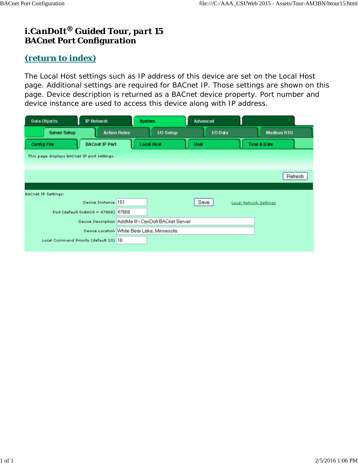## *i.CanDoIt® Guided Tour, part 15 BACnet Port Configuration*

### *(return to index)*

The Local Host settings such as IP address of this device are set on the Local Host page. Additional settings are required for BACnet IP. Those settings are shown on this page. Device description is returned as a BACnet device property. Port number and device instance are used to access this device along with IP address.

| Data Objects                                | <b>IP Network</b>                          |                     | <b>System</b>                                        | Advanced    |          |                               |         |
|---------------------------------------------|--------------------------------------------|---------------------|------------------------------------------------------|-------------|----------|-------------------------------|---------|
| <b>Server Setup</b>                         |                                            | <b>Action Rules</b> | <b>I/O Setup</b>                                     |             | I/O Data | <b>Modbus RTU</b>             |         |
| <b>Config File</b>                          | <b>BACnet IP Port</b>                      |                     | <b>Local Host</b>                                    | <b>User</b> |          | Time & Date                   |         |
| This page displays BACnet IP port settings. |                                            |                     |                                                      |             |          |                               |         |
|                                             |                                            |                     |                                                      |             |          |                               |         |
|                                             |                                            |                     |                                                      |             |          |                               | Refresh |
|                                             |                                            |                     |                                                      |             |          |                               |         |
| <b>BACnet IP Settings:</b>                  |                                            |                     |                                                      |             |          |                               |         |
|                                             | Device Instance 151                        |                     |                                                      | Save        |          | <b>Local Network Settings</b> |         |
|                                             | Port (default 0xBAC0 = 47808) 47808        |                     |                                                      |             |          |                               |         |
|                                             |                                            |                     | Device Description AddMe III i.CanDolt BACnet Server |             |          |                               |         |
|                                             | Device Location White Bear Lake, Minnesota |                     |                                                      |             |          |                               |         |
| Local Command Priority (default 10) 10      |                                            |                     |                                                      |             |          |                               |         |
|                                             |                                            |                     |                                                      |             |          |                               |         |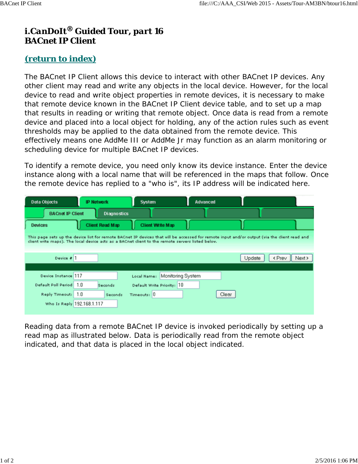## *i.CanDoIt® Guided Tour, part 16 BACnet IP Client*

### *(return to index)*

The BACnet IP Client allows this device to interact with other BACnet IP devices. Any other client may read and write any objects in the local device. However, for the local device to read and write object properties in remote devices, it is necessary to make that remote device known in the BACnet IP Client device table, and to set up a map that results in reading or writing that remote object. Once data is read from a remote device and placed into a local object for holding, any of the action rules such as event thresholds may be applied to the data obtained from the remote device. This effectively means one AddMe III or AddMe Jr may function as an alarm monitoring or scheduling device for multiple BACnet IP devices.

To identify a remote device, you need only know its device instance. Enter the device instance along with a local name that will be referenced in the maps that follow. Once the remote device has replied to a "who is", its IP address will be indicated here.

| <b>Data Objects</b>                                                                                                                                                                                                                              | <b>IP Network</b>                | System                                                                        | Advanced |                                        |  |  |  |  |  |
|--------------------------------------------------------------------------------------------------------------------------------------------------------------------------------------------------------------------------------------------------|----------------------------------|-------------------------------------------------------------------------------|----------|----------------------------------------|--|--|--|--|--|
| <b>BACnet IP Client</b>                                                                                                                                                                                                                          | <b>Diagnostics</b>               |                                                                               |          |                                        |  |  |  |  |  |
| Devices                                                                                                                                                                                                                                          | <b>Client Read Map</b>           | <b>Client Write Map</b>                                                       |          |                                        |  |  |  |  |  |
| This page sets up the device list for remote BACnet IP devices that vill be accessed for remote input and/or output (via the client read and<br>client write maps). The local device acts as a BACnet client to the remote servers listed below. |                                  |                                                                               |          |                                        |  |  |  |  |  |
| Device #1                                                                                                                                                                                                                                        |                                  |                                                                               |          | Update<br><prev<br>Next &gt;</prev<br> |  |  |  |  |  |
| Device Instance 117<br>Default Poll Period<br>Reply Timeout:<br>Who Is Reply 192.168.1.117                                                                                                                                                       | 1.0<br>Seconds<br>1.0<br>Seconds | Monitoring System<br>Local Name:<br>Default Write Priority: 10<br>Timeouts: 0 | Clear    |                                        |  |  |  |  |  |

Reading data from a remote BACnet IP device is invoked periodically by setting up a read map as illustrated below. Data is periodically read from the remote object indicated, and that data is placed in the local object indicated.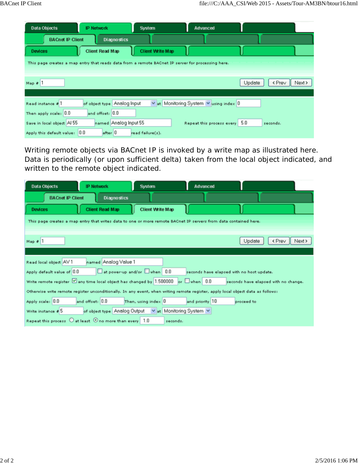| <b>Data Objects</b>                                                                               | <b>IP Network</b>           | System                  | Advanced                               |                            |
|---------------------------------------------------------------------------------------------------|-----------------------------|-------------------------|----------------------------------------|----------------------------|
| <b>BACnet IP Client</b>                                                                           | <b>Diagnostics</b>          |                         |                                        |                            |
| <b>Devices</b>                                                                                    | Client Read Map             | <b>Client Write Map</b> |                                        |                            |
| This page creates a map entry that reads data from a remote BACnet IP server for processing here. |                             |                         |                                        |                            |
|                                                                                                   |                             |                         |                                        |                            |
| Map $\bar{e}$ 1                                                                                   |                             |                         |                                        | Update<br>< Prev<br>Next > |
|                                                                                                   |                             |                         |                                        |                            |
| Read instance # 1                                                                                 | of object type Analog Input |                         | v at Monitoring System v using index 0 |                            |
| Then apply scale: 0.0                                                                             | and offset: 0.0             |                         |                                        |                            |
| Save in local object Al 55                                                                        | named Analog Input 55       |                         | Repeat this process every 5.0          | seconds.                   |
| Apply this default value: 0.0                                                                     | after 0                     | read failure(s).        |                                        |                            |

Writing remote objects via BACnet IP is invoked by a write map as illustrated here. Data is periodically (or upon sufficient delta) taken from the local object indicated, and written to the remote object indicated.

| Data Objects                                                                                                     | <b>IP Network</b>                                    | <b>System</b>           | <b>Advanced</b> |                                                                                                                                  |  |  |  |  |  |
|------------------------------------------------------------------------------------------------------------------|------------------------------------------------------|-------------------------|-----------------|----------------------------------------------------------------------------------------------------------------------------------|--|--|--|--|--|
| <b>BACnet IP Client</b>                                                                                          | <b>Diagnostics</b>                                   |                         |                 |                                                                                                                                  |  |  |  |  |  |
| <b>Devices</b>                                                                                                   | <b>Client Read Map</b>                               | <b>Client Write Map</b> |                 |                                                                                                                                  |  |  |  |  |  |
| This page creates a map entry that writes data to one or more remote BACnet IP servers from data contained here. |                                                      |                         |                 |                                                                                                                                  |  |  |  |  |  |
|                                                                                                                  |                                                      |                         |                 |                                                                                                                                  |  |  |  |  |  |
| Map $# 1$                                                                                                        |                                                      |                         |                 | Update<br>< Prev<br>Next >                                                                                                       |  |  |  |  |  |
|                                                                                                                  |                                                      |                         |                 |                                                                                                                                  |  |  |  |  |  |
| Read local object AV 1                                                                                           | named Analog Value 1                                 |                         |                 |                                                                                                                                  |  |  |  |  |  |
| Apply default value of 0.0                                                                                       | at power-up and/or when 0.0                          |                         |                 | seconds have elapsed with no host update.                                                                                        |  |  |  |  |  |
| Write remote register $\boxtimes$ any time local object has changed by 1.500000 or $\Box$ when 0.0               |                                                      |                         |                 | seconds have elapsed with no change.                                                                                             |  |  |  |  |  |
|                                                                                                                  |                                                      |                         |                 | Othervise write remote register unconditionally. In any event, when writing remote register, apply local object data as follows: |  |  |  |  |  |
| Apply scale: 0.0                                                                                                 | and offset: 0.0                                      | Then, using index $ 0 $ | and priority 10 | proceed to                                                                                                                       |  |  |  |  |  |
| Write instance # 5                                                                                               | of object type Analog Output vat Monitoring System v |                         |                 |                                                                                                                                  |  |  |  |  |  |
| Repeat this process $\bigcirc$ at least $\bigcirc$ no more than every 1.0                                        |                                                      |                         | seconds.        |                                                                                                                                  |  |  |  |  |  |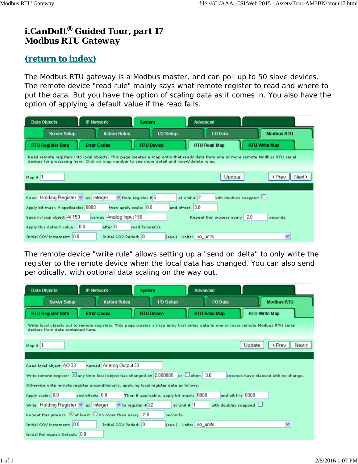# *i.CanDoIt® Guided Tour, part 17 Modbus RTU Gateway*

#### *(return to index)*

The Modbus RTU gateway is a Modbus master, and can poll up to 50 slave devices. The remote device "read rule" mainly says what remote register to read and where to put the data. But you have the option of scaling data as it comes in. You also have the option of applying a default value if the read fails.

| Data Objects                                                                                                                                                                                                                      |  | <b>IP Network</b>      | <b>System</b>            |                        | <b>Advanced</b>               |  |                      |  |
|-----------------------------------------------------------------------------------------------------------------------------------------------------------------------------------------------------------------------------------|--|------------------------|--------------------------|------------------------|-------------------------------|--|----------------------|--|
| <b>Server Setup</b>                                                                                                                                                                                                               |  | <b>Action Rules</b>    |                          | <b>I/O Setup</b>       | I/O Data                      |  | <b>Modbus RTU</b>    |  |
| <b>RTU Register Data</b>                                                                                                                                                                                                          |  | <b>Error Codes</b>     | <b>RTU Device</b>        |                        | RTU Read Map                  |  | <b>RTU Write Map</b> |  |
| Read remote registers into local objects. This page creates a map entry that reads data from one or more remote Modbus RTU serial<br>devices for processing here. Click on map number to see more detail and insert/delete rules. |  |                        |                          |                        |                               |  |                      |  |
| Map $\theta$ 1                                                                                                                                                                                                                    |  |                        |                          |                        | Update                        |  | < Prev<br>Next >     |  |
|                                                                                                                                                                                                                                   |  |                        |                          |                        |                               |  |                      |  |
| Read Holding Register V as Integer                                                                                                                                                                                                |  |                        | $\vee$ from register # 5 | at Unit $\theta$ 2     | with doubles swapped $\Box$   |  |                      |  |
| Apply bit mask if applicable: 0000                                                                                                                                                                                                |  | then apply scale: 0.0  |                          | and offset: 0.0        |                               |  |                      |  |
| Save in local object Al 150                                                                                                                                                                                                       |  | named Analog Input 150 |                          |                        | Repeat this process every 2.0 |  | seconds.             |  |
| Apply this default value: 0.0                                                                                                                                                                                                     |  | $after$ 0              | read failure(s).         |                        |                               |  |                      |  |
| Initial COV increment: 0.0                                                                                                                                                                                                        |  | Initial COV Period: 0  |                          | (sec.) Units: no_units |                               |  | v                    |  |

The remote device "write rule" allows setting up a "send on delta" to only write the register to the remote device when the local data has changed. You can also send periodically, with optional data scaling on the way out.

| Data Objects                                                                                                                                                             | <b>IP Network</b>          |                        | <b>System</b>          |                                          | Advanced |                             |               |                                      |  |
|--------------------------------------------------------------------------------------------------------------------------------------------------------------------------|----------------------------|------------------------|------------------------|------------------------------------------|----------|-----------------------------|---------------|--------------------------------------|--|
| <b>Server Setup</b>                                                                                                                                                      |                            | <b>Action Rules</b>    |                        | 1/0 Setup                                |          | <b>I/O Data</b>             |               | <b>Modbus RTU</b>                    |  |
| <b>RTU Register Data</b>                                                                                                                                                 |                            | <b>Error Codes</b>     | <b>RTU Device</b>      |                                          |          | RTU Read Map                | RTU Write Map |                                      |  |
| Write local objects out to remote registers. This page creates a map entry that writes data to one or more remote Modbus RTU serial<br>devices from data contained here. |                            |                        |                        |                                          |          |                             |               |                                      |  |
| Map 41                                                                                                                                                                   | < Prev<br>Update<br>Next > |                        |                        |                                          |          |                             |               |                                      |  |
|                                                                                                                                                                          |                            |                        |                        |                                          |          |                             |               |                                      |  |
| Read local object AO 33                                                                                                                                                  |                            | named Analog Output 33 |                        |                                          |          |                             |               |                                      |  |
| Write remote register $\boxdot$ any time local object has changed by 2.000000 or $\Box$ when 0.0                                                                         |                            |                        |                        |                                          |          |                             |               | seconds have elapsed with no change. |  |
| Otherwise write remote register unconditionally, applying local register data as follows:                                                                                |                            |                        |                        |                                          |          |                             |               |                                      |  |
| Apply scale: 0.0                                                                                                                                                         | and offset: 0.0            |                        |                        | Then if applicable, apply bit mask: 0000 |          | and bit fill: 0000          |               |                                      |  |
| write Holding Register v as Integer                                                                                                                                      |                            |                        | $\vee$ to register #22 | at Unit # 1                              |          | with doubles swapped $\Box$ |               |                                      |  |
| Repeat this process $\odot$ at least $\odot$ no more than every 2.0                                                                                                      |                            |                        |                        | seconds.                                 |          |                             |               |                                      |  |
| Initial COV increment: 0.0                                                                                                                                               |                            | Initial COV Period: 0  |                        | (sec.) Units: no units                   |          |                             |               | ×                                    |  |
| Initial Relinquish Default: 0.0                                                                                                                                          |                            |                        |                        |                                          |          |                             |               |                                      |  |